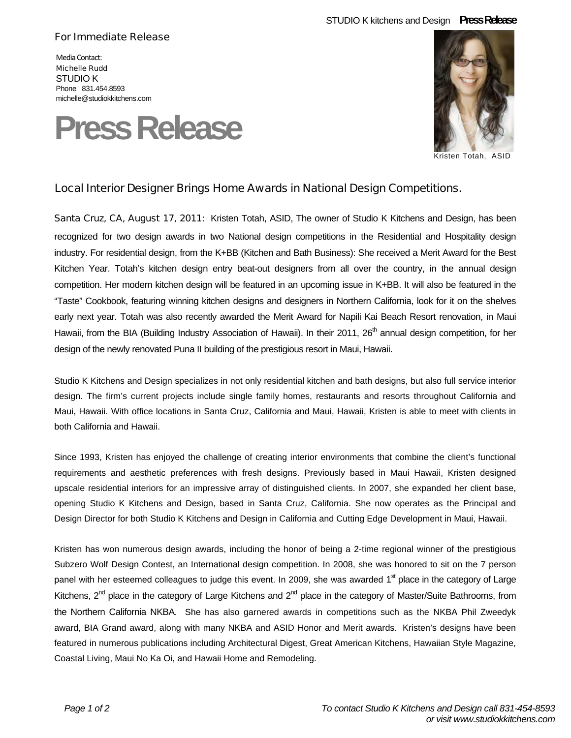## STUDIO K kitchens and Design **Press Release**

## For Immediate Release

Media Contact: Michelle Rudd STUDIO K Phone 831.454.8593 michelle@studiokkitchens.com





Kristen Totah, ASID

## Local Interior Designer Brings Home Awards in National Design Competitions.

Santa Cruz, CA, August 17, 2011: Kristen Totah, ASID, The owner of Studio K Kitchens and Design, has been recognized for two design awards in two National design competitions in the Residential and Hospitality design industry. For residential design, from the K+BB (Kitchen and Bath Business): She received a Merit Award for the Best Kitchen Year. Totah's kitchen design entry beat-out designers from all over the country, in the annual design competition. Her modern kitchen design will be featured in an upcoming issue in K+BB. It will also be featured in the "Taste" Cookbook, featuring winning kitchen designs and designers in Northern California, look for it on the shelves early next year. Totah was also recently awarded the Merit Award for Napili Kai Beach Resort renovation, in Maui Hawaii, from the BIA (Building Industry Association of Hawaii). In their 2011, 26<sup>th</sup> annual design competition, for her design of the newly renovated Puna II building of the prestigious resort in Maui, Hawaii.

Studio K Kitchens and Design specializes in not only residential kitchen and bath designs, but also full service interior design. The firm's current projects include single family homes, restaurants and resorts throughout California and Maui, Hawaii. With office locations in Santa Cruz, California and Maui, Hawaii, Kristen is able to meet with clients in both California and Hawaii.

Since 1993, Kristen has enjoyed the challenge of creating interior environments that combine the client's functional requirements and aesthetic preferences with fresh designs. Previously based in Maui Hawaii, Kristen designed upscale residential interiors for an impressive array of distinguished clients. In 2007, she expanded her client base, opening Studio K Kitchens and Design, based in Santa Cruz, California. She now operates as the Principal and Design Director for both Studio K Kitchens and Design in California and Cutting Edge Development in Maui, Hawaii.

Kristen has won numerous design awards, including the honor of being a 2-time regional winner of the prestigious Subzero Wolf Design Contest, an International design competition. In 2008, she was honored to sit on the 7 person panel with her esteemed colleagues to judge this event. In 2009, she was awarded  $1<sup>st</sup>$  place in the category of Large Kitchens,  $2^{nd}$  place in the category of Large Kitchens and  $2^{nd}$  place in the category of Master/Suite Bathrooms, from the Northern California NKBA. She has also garnered awards in competitions such as the NKBA Phil Zweedyk award, BIA Grand award, along with many NKBA and ASID Honor and Merit awards. Kristen's designs have been featured in numerous publications including Architectural Digest, Great American Kitchens, Hawaiian Style Magazine, Coastal Living, Maui No Ka Oi, and Hawaii Home and Remodeling.